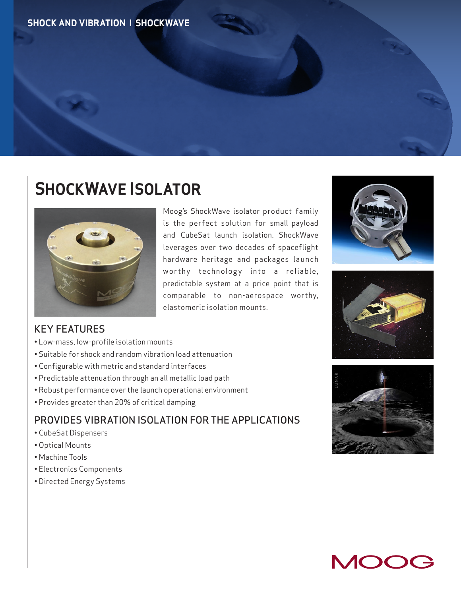## **SHOCKWAVE ISOLATOR**



Moog's ShockWave isolator product family is the perfect solution for small payload and CubeSat launch isolation. ShockWave leverages over two decades of spaceflight hardware heritage and packages launch worthy technology into a reliable, predictable system at a price point that is comparable to non-aerospace worthy, elastomeric isolation mounts.

## KEY FEATURES

- Low-mass, low-profile isolation mounts
- Suitable for shock and random vibration load attenuation
- Configurable with metric and standard interfaces
- Predictable attenuation through an all metallic load path
- Robust performance over the launch operational environment
- Provides greater than 20% of critical damping

## PROVIDES VIBRATION ISOLATION FOR THE APPLICATIONS

- CubeSat Dispensers
- Optical Mounts
- Machine Tools
- Electronics Components
- Directed Energy Systems